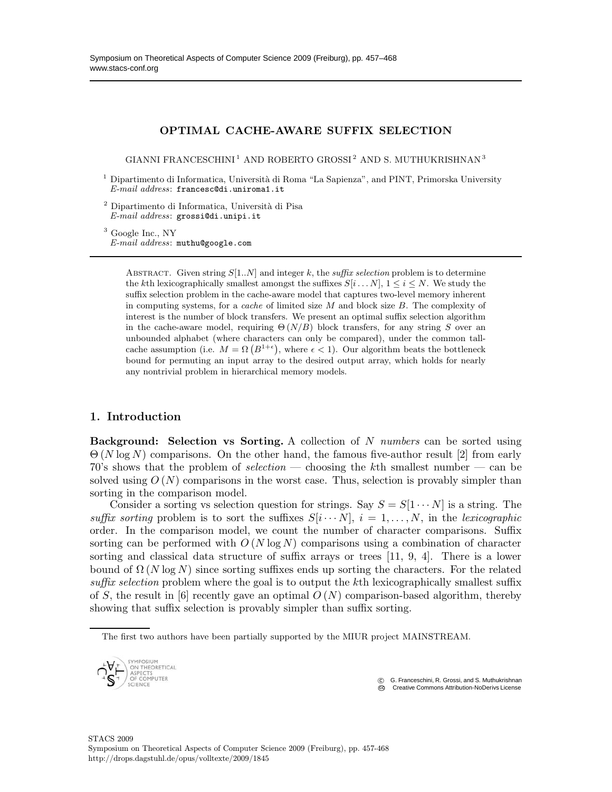## OPTIMAL CACHE-AWARE SUFFIX SELECTION

GIANNI FRANCESCHINI<sup>1</sup> AND ROBERTO GROSSI<sup>2</sup> AND S. MUTHUKRISHNAN<sup>3</sup>

- <sup>1</sup> Dipartimento di Informatica, Università di Roma "La Sapienza", and PINT, Primorska University  $E\text{-}mail$  address: francesc@di.uniroma1.it
- <sup>2</sup> Dipartimento di Informatica, Università di Pisa E-mail address: grossi@di.unipi.it

<sup>3</sup> Google Inc., NY E-mail address: muthu@google.com

> ABSTRACT. Given string  $S[1..N]$  and integer k, the suffix selection problem is to determine the kth lexicographically smallest amongst the suffixes  $S[i \dots N]$ ,  $1 \le i \le N$ . We study the suffix selection problem in the cache-aware model that captures two-level memory inherent in computing systems, for a *cache* of limited size  $M$  and block size  $B$ . The complexity of interest is the number of block transfers. We present an optimal suffix selection algorithm in the cache-aware model, requiring  $\Theta(N/B)$  block transfers, for any string S over an unbounded alphabet (where characters can only be compared), under the common tallcache assumption (i.e.  $M = \Omega(B^{1+\epsilon})$ , where  $\epsilon < 1$ ). Our algorithm beats the bottleneck bound for permuting an input array to the desired output array, which holds for nearly any nontrivial problem in hierarchical memory models.

# 1. Introduction

**Background:** Selection vs Sorting. A collection of  $N$  numbers can be sorted using  $\Theta(N \log N)$  comparisons. On the other hand, the famous five-author result [2] from early 70's shows that the problem of selection — choosing the kth smallest number — can be solved using  $O(N)$  comparisons in the worst case. Thus, selection is provably simpler than sorting in the comparison model.

Consider a sorting vs selection question for strings. Say  $S = S[1 \cdots N]$  is a string. The suffix sorting problem is to sort the suffixes  $S[i \cdots N], i = 1, \ldots, N$ , in the lexicographic order. In the comparison model, we count the number of character comparisons. Suffix sorting can be performed with  $O(N \log N)$  comparisons using a combination of character sorting and classical data structure of suffix arrays or trees [11, 9, 4]. There is a lower bound of  $\Omega(N \log N)$  since sorting suffixes ends up sorting the characters. For the related suffix selection problem where the goal is to output the kth lexicographically smallest suffix of S, the result in [6] recently gave an optimal  $O(N)$  comparison-based algorithm, thereby showing that suffix selection is provably simpler than suffix sorting.

The first two authors have been partially supported by the MIUR project MAINSTREAM.



 c G. Franceschini, R. Grossi, and S. Muthukrishnan CC Creative Commons Attribution-NoDerivs License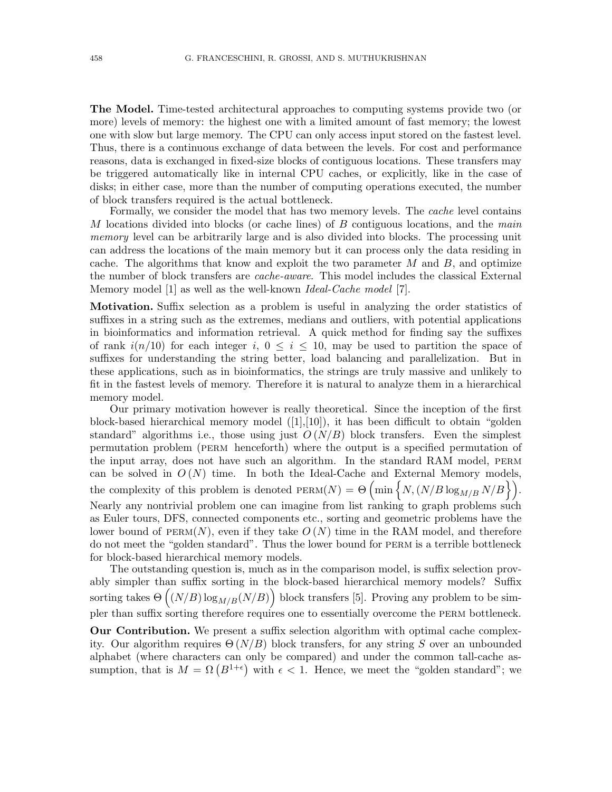The Model. Time-tested architectural approaches to computing systems provide two (or more) levels of memory: the highest one with a limited amount of fast memory; the lowest one with slow but large memory. The CPU can only access input stored on the fastest level. Thus, there is a continuous exchange of data between the levels. For cost and performance reasons, data is exchanged in fixed-size blocks of contiguous locations. These transfers may be triggered automatically like in internal CPU caches, or explicitly, like in the case of disks; in either case, more than the number of computing operations executed, the number of block transfers required is the actual bottleneck.

Formally, we consider the model that has two memory levels. The *cache* level contains  $M$  locations divided into blocks (or cache lines) of  $B$  contiguous locations, and the main memory level can be arbitrarily large and is also divided into blocks. The processing unit can address the locations of the main memory but it can process only the data residing in cache. The algorithms that know and exploit the two parameter  $M$  and  $B$ , and optimize the number of block transfers are *cache-aware*. This model includes the classical External Memory model [1] as well as the well-known *Ideal-Cache model* [7].

Motivation. Suffix selection as a problem is useful in analyzing the order statistics of suffixes in a string such as the extremes, medians and outliers, with potential applications in bioinformatics and information retrieval. A quick method for finding say the suffixes of rank  $i(n/10)$  for each integer i,  $0 \le i \le 10$ , may be used to partition the space of suffixes for understanding the string better, load balancing and parallelization. But in these applications, such as in bioinformatics, the strings are truly massive and unlikely to fit in the fastest levels of memory. Therefore it is natural to analyze them in a hierarchical memory model.

Our primary motivation however is really theoretical. Since the inception of the first block-based hierarchical memory model  $([1],[10])$ , it has been difficult to obtain "golden" standard" algorithms i.e., those using just  $O(N/B)$  block transfers. Even the simplest permutation problem (PERM henceforth) where the output is a specified permutation of the input array, does not have such an algorithm. In the standard RAM model, perm can be solved in  $O(N)$  time. In both the Ideal-Cache and External Memory models, the complexity of this problem is denoted  $\text{PERM}(N) = \Theta\left(\min\left\{N, (N/B \log_{M/B} N/B\right\}\right).$ Nearly any nontrivial problem one can imagine from list ranking to graph problems such as Euler tours, DFS, connected components etc., sorting and geometric problems have the lower bound of  $PERM(N)$ , even if they take  $O(N)$  time in the RAM model, and therefore do not meet the "golden standard". Thus the lower bound for PERM is a terrible bottleneck for block-based hierarchical memory models.

The outstanding question is, much as in the comparison model, is suffix selection provably simpler than suffix sorting in the block-based hierarchical memory models? Suffix sorting takes  $\Theta\left(\left(N/B\right)\log_{M/B}(N/B)\right)$  block transfers [5]. Proving any problem to be simpler than suffix sorting therefore requires one to essentially overcome the perm bottleneck.

Our Contribution. We present a suffix selection algorithm with optimal cache complexity. Our algorithm requires  $\Theta(N/B)$  block transfers, for any string S over an unbounded alphabet (where characters can only be compared) and under the common tall-cache assumption, that is  $M = \Omega(B^{1+\epsilon})$  with  $\epsilon < 1$ . Hence, we meet the "golden standard"; we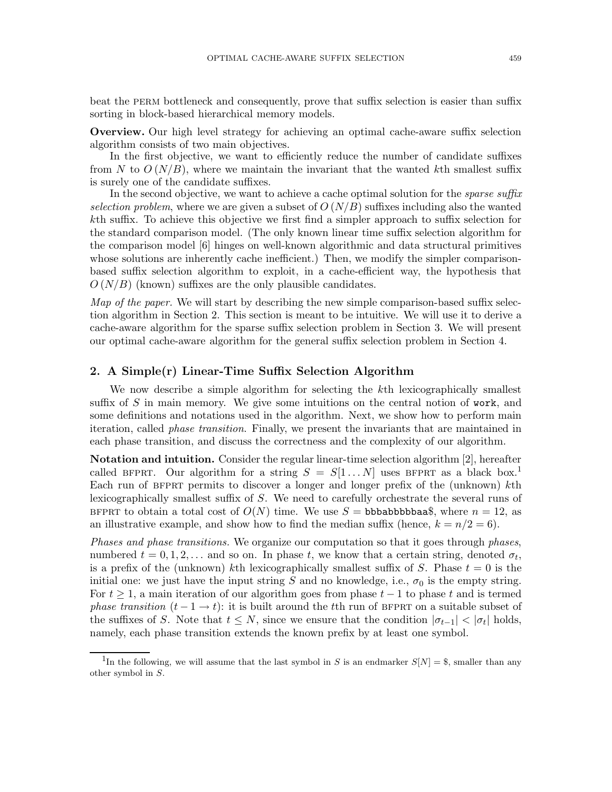beat the perm bottleneck and consequently, prove that suffix selection is easier than suffix sorting in block-based hierarchical memory models.

Overview. Our high level strategy for achieving an optimal cache-aware suffix selection algorithm consists of two main objectives.

In the first objective, we want to efficiently reduce the number of candidate suffixes from N to  $O(N/B)$ , where we maintain the invariant that the wanted kth smallest suffix is surely one of the candidate suffixes.

In the second objective, we want to achieve a cache optimal solution for the *sparse suffix* selection problem, where we are given a subset of  $O(N/B)$  suffixes including also the wanted kth suffix. To achieve this objective we first find a simpler approach to suffix selection for the standard comparison model. (The only known linear time suffix selection algorithm for the comparison model [6] hinges on well-known algorithmic and data structural primitives whose solutions are inherently cache inefficient.) Then, we modify the simpler comparisonbased suffix selection algorithm to exploit, in a cache-efficient way, the hypothesis that  $O(N/B)$  (known) suffixes are the only plausible candidates.

Map of the paper. We will start by describing the new simple comparison-based suffix selection algorithm in Section 2. This section is meant to be intuitive. We will use it to derive a cache-aware algorithm for the sparse suffix selection problem in Section 3. We will present our optimal cache-aware algorithm for the general suffix selection problem in Section 4.

## 2. A Simple(r) Linear-Time Suffix Selection Algorithm

We now describe a simple algorithm for selecting the k<sup>th</sup> lexicographically smallest suffix of S in main memory. We give some intuitions on the central notion of work, and some definitions and notations used in the algorithm. Next, we show how to perform main iteration, called phase transition. Finally, we present the invariants that are maintained in each phase transition, and discuss the correctness and the complexity of our algorithm.

Notation and intuition. Consider the regular linear-time selection algorithm [2], hereafter called BFPRT. Our algorithm for a string  $S = S[1...N]$  uses BFPRT as a black box.<sup>1</sup> Each run of BFPRT permits to discover a longer and longer prefix of the (unknown) kth lexicographically smallest suffix of S. We need to carefully orchestrate the several runs of BFPRT to obtain a total cost of  $O(N)$  time. We use  $S =$  bbbabbbbbaa\$, where  $n = 12$ , as an illustrative example, and show how to find the median suffix (hence,  $k = n/2 = 6$ ).

Phases and phase transitions. We organize our computation so that it goes through phases, numbered  $t = 0, 1, 2, \ldots$  and so on. In phase t, we know that a certain string, denoted  $\sigma_t$ , is a prefix of the (unknown) kth lexicographically smallest suffix of S. Phase  $t = 0$  is the initial one: we just have the input string S and no knowledge, i.e.,  $\sigma_0$  is the empty string. For  $t \geq 1$ , a main iteration of our algorithm goes from phase  $t-1$  to phase t and is termed phase transition  $(t - 1 \rightarrow t)$ : it is built around the tth run of BFPRT on a suitable subset of the suffixes of S. Note that  $t \leq N$ , since we ensure that the condition  $|\sigma_{t-1}| < |\sigma_t|$  holds, namely, each phase transition extends the known prefix by at least one symbol.

<sup>&</sup>lt;sup>1</sup>In the following, we will assume that the last symbol in S is an endmarker  $S[N] =$  \$, smaller than any other symbol in S.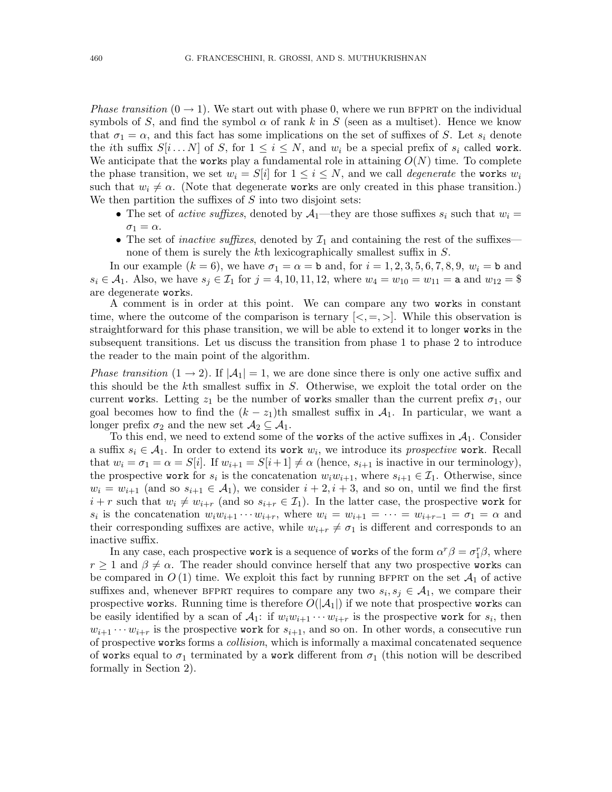*Phase transition*  $(0 \rightarrow 1)$ . We start out with phase 0, where we run BFPRT on the individual symbols of S, and find the symbol  $\alpha$  of rank k in S (seen as a multiset). Hence we know that  $\sigma_1 = \alpha$ , and this fact has some implications on the set of suffixes of S. Let  $s_i$  denote the *i*th suffix  $S[i \dots N]$  of S, for  $1 \le i \le N$ , and  $w_i$  be a special prefix of  $s_i$  called work. We anticipate that the works play a fundamental role in attaining  $O(N)$  time. To complete the phase transition, we set  $w_i = S[i]$  for  $1 \leq i \leq N$ , and we call *degenerate* the works  $w_i$ such that  $w_i \neq \alpha$ . (Note that degenerate works are only created in this phase transition.) We then partition the suffixes of  $S$  into two disjoint sets:

- The set of *active suffixes*, denoted by  $\mathcal{A}_1$ —they are those suffixes  $s_i$  such that  $w_i =$  $\sigma_1 = \alpha$ .
- The set of *inactive suffixes*, denoted by  $\mathcal{I}_1$  and containing the rest of the suffixes none of them is surely the kth lexicographically smallest suffix in S.

In our example  $(k = 6)$ , we have  $\sigma_1 = \alpha = \mathtt{b}$  and, for  $i = 1, 2, 3, 5, 6, 7, 8, 9$ ,  $w_i = \mathtt{b}$  and  $s_i \in A_1$ . Also, we have  $s_j \in \mathcal{I}_1$  for  $j = 4, 10, 11, 12$ , where  $w_4 = w_{10} = w_{11} =$  a and  $w_{12} =$  \$ are degenerate works.

A comment is in order at this point. We can compare any two works in constant time, where the outcome of the comparison is ternary  $\leq, =, >$ . While this observation is straightforward for this phase transition, we will be able to extend it to longer works in the subsequent transitions. Let us discuss the transition from phase 1 to phase 2 to introduce the reader to the main point of the algorithm.

Phase transition  $(1 \rightarrow 2)$ . If  $|\mathcal{A}_1| = 1$ , we are done since there is only one active suffix and this should be the kth smallest suffix in S. Otherwise, we exploit the total order on the current works. Letting  $z_1$  be the number of works smaller than the current prefix  $\sigma_1$ , our goal becomes how to find the  $(k - z_1)$ th smallest suffix in  $A_1$ . In particular, we want a longer prefix  $\sigma_2$  and the new set  $\mathcal{A}_2 \subseteq \mathcal{A}_1$ .

To this end, we need to extend some of the works of the active suffixes in  $A_1$ . Consider a suffix  $s_i \in \mathcal{A}_1$ . In order to extend its work  $w_i$ , we introduce its *prospective* work. Recall that  $w_i = \sigma_1 = \alpha = S[i]$ . If  $w_{i+1} = S[i+1] \neq \alpha$  (hence,  $s_{i+1}$  is inactive in our terminology), the prospective work for  $s_i$  is the concatenation  $w_iw_{i+1}$ , where  $s_{i+1} \in \mathcal{I}_1$ . Otherwise, since  $w_i = w_{i+1}$  (and so  $s_{i+1} \in \mathcal{A}_1$ ), we consider  $i+2, i+3$ , and so on, until we find the first  $i + r$  such that  $w_i \neq w_{i+r}$  (and so  $s_{i+r} \in \mathcal{I}_1$ ). In the latter case, the prospective work for  $s_i$  is the concatenation  $w_i w_{i+1} \cdots w_{i+r}$ , where  $w_i = w_{i+1} = \cdots = w_{i+r-1} = \sigma_1 = \alpha$  and their corresponding suffixes are active, while  $w_{i+r} \neq \sigma_1$  is different and corresponds to an inactive suffix.

In any case, each prospective work is a sequence of works of the form  $\alpha^r \beta = \sigma_1^r \beta$ , where  $r \geq 1$  and  $\beta \neq \alpha$ . The reader should convince herself that any two prospective works can be compared in  $O(1)$  time. We exploit this fact by running BFPRT on the set  $\mathcal{A}_1$  of active suffixes and, whenever BFPRT requires to compare any two  $s_i, s_j \in \mathcal{A}_1$ , we compare their prospective works. Running time is therefore  $O(|\mathcal{A}_1|)$  if we note that prospective works can be easily identified by a scan of  $\mathcal{A}_1$ : if  $w_i w_{i+1} \cdots w_{i+r}$  is the prospective work for  $s_i$ , then  $w_{i+1} \cdots w_{i+r}$  is the prospective work for  $s_{i+1}$ , and so on. In other words, a consecutive run of prospective works forms a collision, which is informally a maximal concatenated sequence of works equal to  $\sigma_1$  terminated by a work different from  $\sigma_1$  (this notion will be described formally in Section 2).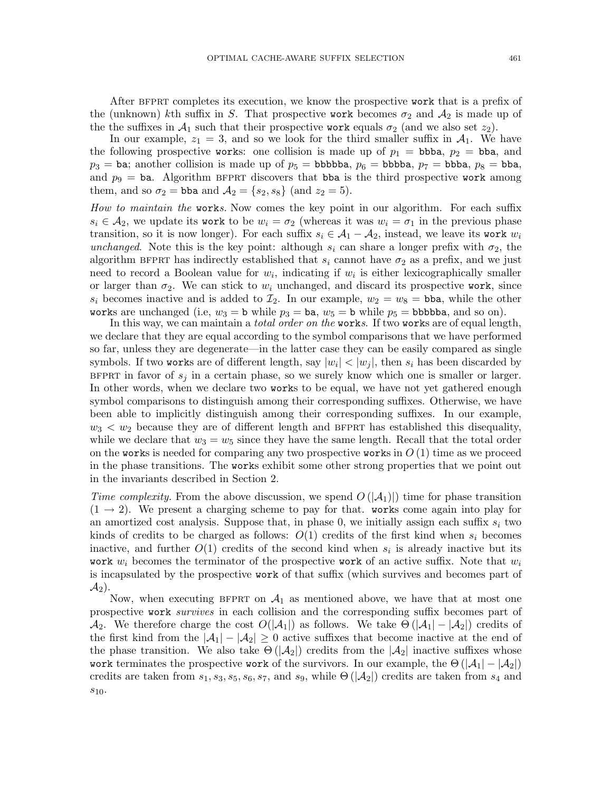After BFPRT completes its execution, we know the prospective work that is a prefix of the (unknown) kth suffix in S. That prospective work becomes  $\sigma_2$  and  $\mathcal{A}_2$  is made up of the the suffixes in  $A_1$  such that their prospective work equals  $\sigma_2$  (and we also set  $z_2$ ).

In our example,  $z_1 = 3$ , and so we look for the third smaller suffix in  $A_1$ . We have the following prospective works: one collision is made up of  $p_1 = b$ bba,  $p_2 = b$ ba, and  $p_3 =$  ba; another collision is made up of  $p_5 =$  bbbbba,  $p_6 =$  bbbba,  $p_7 =$  bbba,  $p_8 =$  bba, and  $p_9 =$  ba. Algorithm BFPRT discovers that bba is the third prospective work among them, and so  $\sigma_2 = \text{bba}$  and  $\mathcal{A}_2 = \{s_2, s_8\}$  (and  $z_2 = 5$ ).

How to maintain the works. Now comes the key point in our algorithm. For each suffix  $s_i \in A_2$ , we update its work to be  $w_i = \sigma_2$  (whereas it was  $w_i = \sigma_1$  in the previous phase transition, so it is now longer). For each suffix  $s_i \in A_1 - A_2$ , instead, we leave its work  $w_i$ unchanged. Note this is the key point: although  $s_i$  can share a longer prefix with  $\sigma_2$ , the algorithm BFPRT has indirectly established that  $s_i$  cannot have  $\sigma_2$  as a prefix, and we just need to record a Boolean value for  $w_i$ , indicating if  $w_i$  is either lexicographically smaller or larger than  $\sigma_2$ . We can stick to  $w_i$  unchanged, and discard its prospective work, since  $s_i$  becomes inactive and is added to  $\mathcal{I}_2$ . In our example,  $w_2 = w_8 = b$ ba, while the other works are unchanged (i.e,  $w_3 = b$  while  $p_3 = ba$ ,  $w_5 = b$  while  $p_5 = bbbbba$ , and so on).

In this way, we can maintain a *total order on the* works. If two works are of equal length, we declare that they are equal according to the symbol comparisons that we have performed so far, unless they are degenerate—in the latter case they can be easily compared as single symbols. If two works are of different length, say  $|w_i| < |w_j|$ , then  $s_i$  has been discarded by BFPRT in favor of  $s_i$  in a certain phase, so we surely know which one is smaller or larger. In other words, when we declare two works to be equal, we have not yet gathered enough symbol comparisons to distinguish among their corresponding suffixes. Otherwise, we have been able to implicitly distinguish among their corresponding suffixes. In our example,  $w_3 < w_2$  because they are of different length and BFPRT has established this disequality, while we declare that  $w_3 = w_5$  since they have the same length. Recall that the total order on the works is needed for comparing any two prospective works in  $O(1)$  time as we proceed in the phase transitions. The works exhibit some other strong properties that we point out in the invariants described in Section 2.

Time complexity. From the above discussion, we spend  $O(|\mathcal{A}_1|)$  time for phase transition  $(1 \rightarrow 2)$ . We present a charging scheme to pay for that. works come again into play for an amortized cost analysis. Suppose that, in phase 0, we initially assign each suffix  $s_i$  two kinds of credits to be charged as follows:  $O(1)$  credits of the first kind when  $s_i$  becomes inactive, and further  $O(1)$  credits of the second kind when  $s_i$  is already inactive but its work  $w_i$  becomes the terminator of the prospective work of an active suffix. Note that  $w_i$ is incapsulated by the prospective work of that suffix (which survives and becomes part of  $\mathcal{A}_2$ ).

Now, when executing BFPRT on  $A_1$  as mentioned above, we have that at most one prospective work survives in each collision and the corresponding suffix becomes part of  $\mathcal{A}_2$ . We therefore charge the cost  $O(|\mathcal{A}_1|)$  as follows. We take  $\Theta(|\mathcal{A}_1| - |\mathcal{A}_2|)$  credits of the first kind from the  $|\mathcal{A}_1| - |\mathcal{A}_2| \geq 0$  active suffixes that become inactive at the end of the phase transition. We also take  $\Theta(|A_2|)$  credits from the  $|A_2|$  inactive suffixes whose work terminates the prospective work of the survivors. In our example, the  $\Theta(|A_1| - |A_2|)$ credits are taken from  $s_1, s_3, s_5, s_6, s_7$ , and  $s_9$ , while  $\Theta(|\mathcal{A}_2|)$  credits are taken from  $s_4$  and  $s_{10}$ .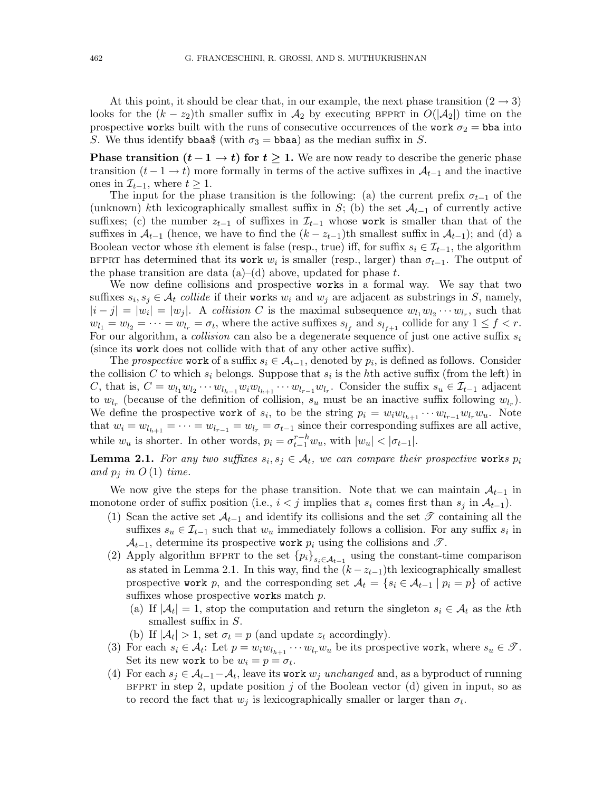At this point, it should be clear that, in our example, the next phase transition  $(2 \rightarrow 3)$ looks for the  $(k - z_2)$ th smaller suffix in  $\mathcal{A}_2$  by executing BFPRT in  $O(|\mathcal{A}_2|)$  time on the prospective works built with the runs of consecutive occurrences of the work  $\sigma_2 =$  bba into S. We thus identify both  $\sigma_3$  = both  $\sigma_3$  as the median suffix in S.

**Phase transition**  $(t-1 \rightarrow t)$  for  $t \geq 1$ . We are now ready to describe the generic phase transition  $(t-1 \rightarrow t)$  more formally in terms of the active suffixes in  $A_{t-1}$  and the inactive ones in  $\mathcal{I}_{t-1}$ , where  $t \geq 1$ .

The input for the phase transition is the following: (a) the current prefix  $\sigma_{t-1}$  of the (unknown) kth lexicographically smallest suffix in S; (b) the set  $\mathcal{A}_{t-1}$  of currently active suffixes; (c) the number  $z_{t-1}$  of suffixes in  $\mathcal{I}_{t-1}$  whose work is smaller than that of the suffixes in  $A_{t-1}$  (hence, we have to find the  $(k - z_{t-1})$ th smallest suffix in  $A_{t-1}$ ); and (d) a Boolean vector whose *i*th element is false (resp., true) iff, for suffix  $s_i \in \mathcal{I}_{t-1}$ , the algorithm BFPRT has determined that its work  $w_i$  is smaller (resp., larger) than  $\sigma_{t-1}$ . The output of the phase transition are data (a)–(d) above, updated for phase t.

We now define collisions and prospective works in a formal way. We say that two suffixes  $s_i, s_j \in A_t$  collide if their works  $w_i$  and  $w_j$  are adjacent as substrings in S, namely,  $|i-j| = |w_i| = |w_j|$ . A collision C is the maximal subsequence  $w_{l_1}w_{l_2}\cdots w_{l_r}$ , such that  $w_{l_1} = w_{l_2} = \cdots = w_{l_r} = \sigma_t$ , where the active suffixes  $s_{l_f}$  and  $s_{l_{f+1}}$  collide for any  $1 \le f < r$ . For our algorithm, a *collision* can also be a degenerate sequence of just one active suffix  $s_i$ (since its work does not collide with that of any other active suffix).

The prospective work of a suffix  $s_i \in A_{t-1}$ , denoted by  $p_i$ , is defined as follows. Consider the collision C to which  $s_i$  belongs. Suppose that  $s_i$  is the hth active suffix (from the left) in C, that is,  $C = w_{l_1}w_{l_2}\cdots w_{l_{h-1}}w_iw_{l_{h+1}}\cdots w_{l_{r-1}}w_{l_r}$ . Consider the suffix  $s_u \in \mathcal{I}_{t-1}$  adjacent to  $w_{l_r}$  (because of the definition of collision,  $s_u$  must be an inactive suffix following  $w_{l_r}$ ). We define the prospective work of  $s_i$ , to be the string  $p_i = w_i w_{l_{h+1}} \cdots w_{l_{r-1}} w_{l_r} w_u$ . Note that  $w_i = w_{l_{n+1}} = \cdots = w_{l_{r-1}} = w_{l_r} = \sigma_{t-1}$  since their corresponding suffixes are all active, while  $w_u$  is shorter. In other words,  $p_i = \sigma_{t-1}^{r-h} w_u$ , with  $|w_u| < |\sigma_{t-1}|$ .

**Lemma 2.1.** For any two suffixes  $s_i, s_j \in A_t$ , we can compare their prospective works  $p_i$ and  $p_j$  in  $O(1)$  time.

We now give the steps for the phase transition. Note that we can maintain  $\mathcal{A}_{t-1}$  in monotone order of suffix position (i.e.,  $i < j$  implies that  $s_i$  comes first than  $s_j$  in  $\mathcal{A}_{t-1}$ ).

- (1) Scan the active set  $\mathcal{A}_{t-1}$  and identify its collisions and the set  $\mathscr{T}$  containing all the suffixes  $s_u \in \mathcal{I}_{t-1}$  such that  $w_u$  immediately follows a collision. For any suffix  $s_i$  in  $\mathcal{A}_{t-1}$ , determine its prospective work  $p_i$  using the collisions and  $\mathcal{T}$ .
- (2) Apply algorithm BFPRT to the set  ${p_i}_{s_i \in A_{t-1}}$  using the constant-time comparison as stated in Lemma 2.1. In this way, find the  $(k - z_{t-1})$ th lexicographically smallest prospective work p, and the corresponding set  $\mathcal{A}_t = \{s_i \in \mathcal{A}_{t-1} \mid p_i = p\}$  of active suffixes whose prospective works match  $p$ .
	- (a) If  $|\mathcal{A}_t| = 1$ , stop the computation and return the singleton  $s_i \in \mathcal{A}_t$  as the kth smallest suffix in S.
	- (b) If  $|\mathcal{A}_t| > 1$ , set  $\sigma_t = p$  (and update  $z_t$  accordingly).
- (3) For each  $s_i \in \mathcal{A}_t$ : Let  $p = w_i w_{l_{h+1}} \cdots w_{l_r} w_u$  be its prospective work, where  $s_u \in \mathcal{T}$ . Set its new work to be  $w_i = p = \sigma_t$ .
- (4) For each  $s_j \in \mathcal{A}_{t-1} \mathcal{A}_t$ , leave its work  $w_j$  unchanged and, as a byproduct of running BFPRT in step 2, update position  $j$  of the Boolean vector (d) given in input, so as to record the fact that  $w_j$  is lexicographically smaller or larger than  $\sigma_t$ .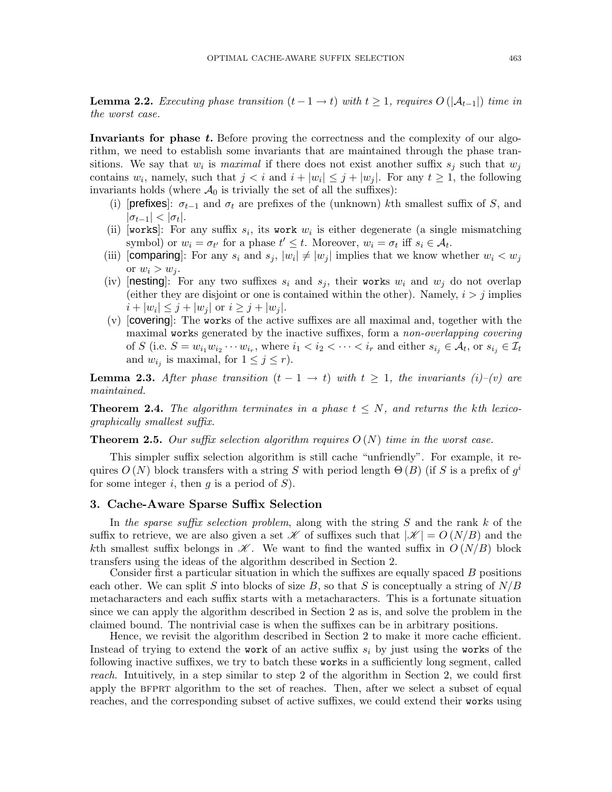**Lemma 2.2.** Executing phase transition  $(t-1 \to t)$  with  $t \geq 1$ , requires  $O(|\mathcal{A}_{t-1}|)$  time in the worst case.

Invariants for phase t. Before proving the correctness and the complexity of our algorithm, we need to establish some invariants that are maintained through the phase transitions. We say that  $w_i$  is maximal if there does not exist another suffix  $s_j$  such that  $w_j$ contains  $w_i$ , namely, such that  $j < i$  and  $i + |w_i| \leq j + |w_j|$ . For any  $t \geq 1$ , the following invariants holds (where  $\mathcal{A}_0$  is trivially the set of all the suffixes):

- (i) [prefixes]:  $\sigma_{t-1}$  and  $\sigma_t$  are prefixes of the (unknown) kth smallest suffix of S, and  $|\sigma_{t-1}| < |\sigma_t|.$
- (ii) [works]: For any suffix  $s_i$ , its work  $w_i$  is either degenerate (a single mismatching symbol) or  $w_i = \sigma_{t'}$  for a phase  $t' \leq t$ . Moreover,  $w_i = \sigma_t$  iff  $s_i \in \mathcal{A}_t$ .
- (iii) [comparing]: For any  $s_i$  and  $s_j$ ,  $|w_i| \neq |w_j|$  implies that we know whether  $w_i < w_j$ or  $w_i > w_j$ .
- (iv) [nesting]: For any two suffixes  $s_i$  and  $s_j$ , their works  $w_i$  and  $w_j$  do not overlap (either they are disjoint or one is contained within the other). Namely,  $i > j$  implies  $i + |w_i| \leq j + |w_j|$  or  $i \geq j + |w_j|$ .
- (v) [covering]: The works of the active suffixes are all maximal and, together with the maximal works generated by the inactive suffixes, form a non-overlapping covering of S (i.e.  $S = w_{i_1}w_{i_2}\cdots w_{i_r}$ , where  $i_1 < i_2 < \cdots < i_r$  and either  $s_{i_j} \in \mathcal{A}_t$ , or  $s_{i_j} \in \mathcal{I}_t$ and  $w_{i_j}$  is maximal, for  $1 \leq j \leq r$ ).

**Lemma 2.3.** After phase transition  $(t - 1 \rightarrow t)$  with  $t \geq 1$ , the invariants  $(i)$ – $(v)$  are maintained.

**Theorem 2.4.** The algorithm terminates in a phase  $t \leq N$ , and returns the kth lexicographically smallest suffix.

**Theorem 2.5.** Our suffix selection algorithm requires  $O(N)$  time in the worst case.

This simpler suffix selection algorithm is still cache "unfriendly". For example, it requires  $O(N)$  block transfers with a string S with period length  $\Theta(B)$  (if S is a prefix of  $g^i$ for some integer i, then  $g$  is a period of  $S$ ).

#### 3. Cache-Aware Sparse Suffix Selection

In the sparse suffix selection problem, along with the string  $S$  and the rank  $k$  of the suffix to retrieve, we are also given a set  $\mathscr K$  of suffixes such that  $|\mathscr K|=O(N/B)$  and the kth smallest suffix belongs in  $\mathscr K$ . We want to find the wanted suffix in  $O(N/B)$  block transfers using the ideas of the algorithm described in Section 2.

Consider first a particular situation in which the suffixes are equally spaced B positions each other. We can split S into blocks of size B, so that S is conceptually a string of  $N/B$ metacharacters and each suffix starts with a metacharacters. This is a fortunate situation since we can apply the algorithm described in Section 2 as is, and solve the problem in the claimed bound. The nontrivial case is when the suffixes can be in arbitrary positions.

Hence, we revisit the algorithm described in Section 2 to make it more cache efficient. Instead of trying to extend the work of an active suffix  $s_i$  by just using the works of the following inactive suffixes, we try to batch these works in a sufficiently long segment, called reach. Intuitively, in a step similar to step 2 of the algorithm in Section 2, we could first apply the BFPRT algorithm to the set of reaches. Then, after we select a subset of equal reaches, and the corresponding subset of active suffixes, we could extend their works using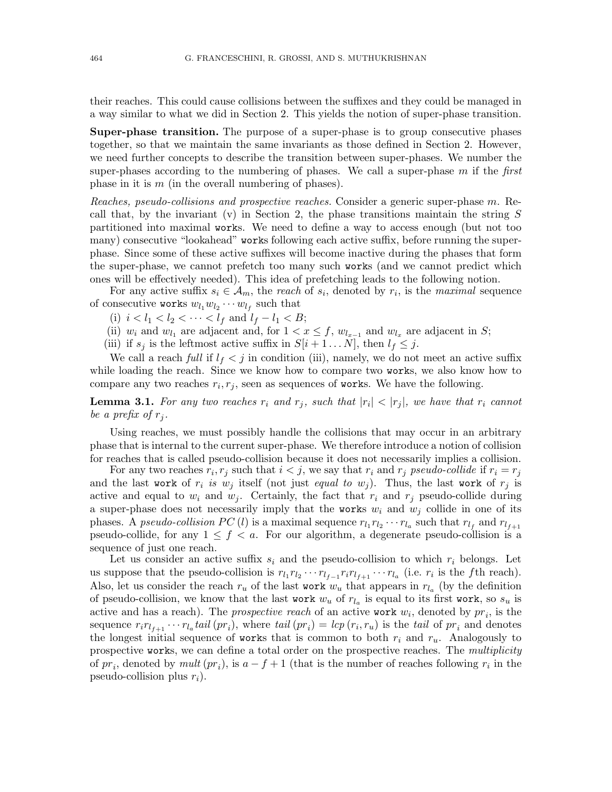their reaches. This could cause collisions between the suffixes and they could be managed in a way similar to what we did in Section 2. This yields the notion of super-phase transition.

Super-phase transition. The purpose of a super-phase is to group consecutive phases together, so that we maintain the same invariants as those defined in Section 2. However, we need further concepts to describe the transition between super-phases. We number the super-phases according to the numbering of phases. We call a super-phase  $m$  if the first phase in it is  $m$  (in the overall numbering of phases).

Reaches, pseudo-collisions and prospective reaches. Consider a generic super-phase m. Recall that, by the invariant (v) in Section 2, the phase transitions maintain the string  $S$ partitioned into maximal works. We need to define a way to access enough (but not too many) consecutive "lookahead" works following each active suffix, before running the superphase. Since some of these active suffixes will become inactive during the phases that form the super-phase, we cannot prefetch too many such works (and we cannot predict which ones will be effectively needed). This idea of prefetching leads to the following notion.

For any active suffix  $s_i \in A_m$ , the reach of  $s_i$ , denoted by  $r_i$ , is the maximal sequence of consecutive works  $w_{l_1}w_{l_2}\cdots w_{l_f}$  such that

- (i)  $i < l_1 < l_2 < \cdots < l_f$  and  $l_f l_1 < B$ ;
- (ii)  $w_i$  and  $w_{l_1}$  are adjacent and, for  $1 < x \leq f$ ,  $w_{l_{x-1}}$  and  $w_{l_x}$  are adjacent in S;
- (iii) if  $s_i$  is the leftmost active suffix in  $S[i+1 \dots N]$ , then  $l_f \leq j$ .

We call a reach full if  $l_f < j$  in condition (iii), namely, we do not meet an active suffix while loading the reach. Since we know how to compare two works, we also know how to compare any two reaches  $r_i, r_j$ , seen as sequences of works. We have the following.

**Lemma 3.1.** For any two reaches  $r_i$  and  $r_j$ , such that  $|r_i| < |r_j|$ , we have that  $r_i$  cannot be a prefix of  $r_i$ .

Using reaches, we must possibly handle the collisions that may occur in an arbitrary phase that is internal to the current super-phase. We therefore introduce a notion of collision for reaches that is called pseudo-collision because it does not necessarily implies a collision.

For any two reaches  $r_i, r_j$  such that  $i < j$ , we say that  $r_i$  and  $r_j$  pseudo-collide if  $r_i = r_j$ and the last work of  $r_i$  is  $w_j$  itself (not just equal to  $w_j$ ). Thus, the last work of  $r_j$  is active and equal to  $w_i$  and  $w_j$ . Certainly, the fact that  $r_i$  and  $r_j$  pseudo-collide during a super-phase does not necessarily imply that the works  $w_i$  and  $w_j$  collide in one of its phases. A *pseudo-collision PC* (*l*) is a maximal sequence  $r_{l_1}r_{l_2}\cdots r_{l_a}$  such that  $r_{l_f}$  and  $r_{l_{f+1}}$ pseudo-collide, for any  $1 \leq f < a$ . For our algorithm, a degenerate pseudo-collision is a sequence of just one reach.

Let us consider an active suffix  $s_i$  and the pseudo-collision to which  $r_i$  belongs. Let us suppose that the pseudo-collision is  $r_{l_1}r_{l_2}\cdots r_{l_{f-1}}r_i r_{l_{f+1}}\cdots r_{l_a}$  (i.e.  $r_i$  is the fth reach). Also, let us consider the reach  $r_u$  of the last work  $w_u$  that appears in  $r_{l_a}$  (by the definition of pseudo-collision, we know that the last work  $w_u$  of  $r_{l_a}$  is equal to its first work, so  $s_u$  is active and has a reach). The *prospective reach* of an active work  $w_i$ , denoted by  $pr_i$ , is the sequence  $r_i r_{l_{f+1}} \cdots r_{l_a} tail (pr_i)$ , where  $tail (pr_i) = lcp (r_i, r_u)$  is the tail of  $pr_i$  and denotes the longest initial sequence of works that is common to both  $r_i$  and  $r_u$ . Analogously to prospective works, we can define a total order on the prospective reaches. The *multiplicity* of  $pr_i$ , denoted by  $mult(pr_i)$ , is  $a - f + 1$  (that is the number of reaches following  $r_i$  in the pseudo-collision plus  $r_i$ ).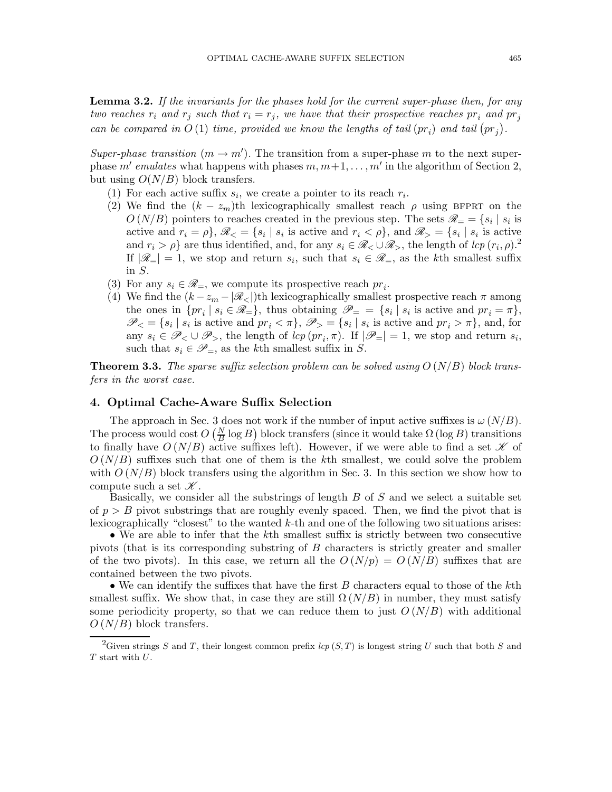**Lemma 3.2.** If the invariants for the phases hold for the current super-phase then, for any two reaches  $r_i$  and  $r_j$  such that  $r_i = r_j$ , we have that their prospective reaches  $pr_i$  and  $pr_j$ can be compared in  $O(1)$  time, provided we know the lengths of tail  $(pr_i)$  and tail  $(pr_j)$ .

Super-phase transition  $(m \to m')$ . The transition from a super-phase m to the next superphase m' emulates what happens with phases  $m, m+1, \ldots, m'$  in the algorithm of Section 2, but using  $O(N/B)$  block transfers.

- (1) For each active suffix  $s_i$ , we create a pointer to its reach  $r_i$ .
- (2) We find the  $(k z_m)$ th lexicographically smallest reach  $\rho$  using BFPRT on the  $O(N/B)$  pointers to reaches created in the previous step. The sets  $\mathscr{R}_{=} = \{s_i \mid s_i \text{ is }$ active and  $r_i = \rho$ ,  $\mathscr{R}_\leq$  = { $s_i \mid s_i$  is active and  $r_i < \rho$ }, and  $\mathscr{R}_\geq$  = { $s_i \mid s_i$  is active and  $r_i > \rho$  are thus identified, and, for any  $s_i \in \mathcal{R} \cup \mathcal{R}$ , the length of  $lcp(r_i, \rho)$ . If  $|\mathscr{R}_=|=1$ , we stop and return  $s_i$ , such that  $s_i \in \mathscr{R}_{=}$ , as the kth smallest suffix in S.
- (3) For any  $s_i \in \mathcal{R}_{=}$ , we compute its prospective reach  $pr_i$ .
- (4) We find the  $(k z_m |\mathcal{R}_\le|)$ th lexicographically smallest prospective reach  $\pi$  among the ones in  $\{pr_i \mid s_i \in \mathcal{R}_r\}$ , thus obtaining  $\mathcal{P}_r = \{s_i \mid s_i \text{ is active and } pr_i = \pi\}$ ,  $\mathscr{P}_{\leq} = \{s_i \mid s_i \text{ is active and } pr_i \leq \pi\}, \ \mathscr{P}_{\geq} = \{s_i \mid s_i \text{ is active and } pr_i \geq \pi\}, \text{ and, for }$ any  $s_i \in \mathscr{P}_{<} \cup \mathscr{P}_{>}$ , the length of  $lcp\left(pr_i,\pi\right)$ . If  $|\mathscr{P}_{=}|=1$ , we stop and return  $s_i$ , such that  $s_i \in \mathscr{P}_{=}$ , as the kth smallest suffix in S.

**Theorem 3.3.** The sparse suffix selection problem can be solved using  $O(N/B)$  block transfers in the worst case.

## 4. Optimal Cache-Aware Suffix Selection

The approach in Sec. 3 does not work if the number of input active suffixes is  $\omega(N/B)$ . The process would cost  $O(\frac{N}{B}\log B)$  block transfers (since it would take  $\Omega(\log B)$  transitions to finally have  $O(N/B)$  active suffixes left). However, if we were able to find a set  $\mathscr K$  of  $O(N/B)$  suffixes such that one of them is the kth smallest, we could solve the problem with  $O(N/B)$  block transfers using the algorithm in Sec. 3. In this section we show how to compute such a set  $\mathscr K$ .

Basically, we consider all the substrings of length B of S and we select a suitable set of  $p > B$  pivot substrings that are roughly evenly spaced. Then, we find the pivot that is lexicographically "closest" to the wanted k-th and one of the following two situations arises:

• We are able to infer that the kth smallest suffix is strictly between two consecutive pivots (that is its corresponding substring of B characters is strictly greater and smaller of the two pivots). In this case, we return all the  $O(N/p) = O(N/B)$  suffixes that are contained between the two pivots.

• We can identify the suffixes that have the first  $B$  characters equal to those of the  $k$ th smallest suffix. We show that, in case they are still  $\Omega(N/B)$  in number, they must satisfy some periodicity property, so that we can reduce them to just  $O(N/B)$  with additional  $O(N/B)$  block transfers.

<sup>&</sup>lt;sup>2</sup>Given strings S and T, their longest common prefix  $lcp(S,T)$  is longest string U such that both S and  $T$  start with  $U$ .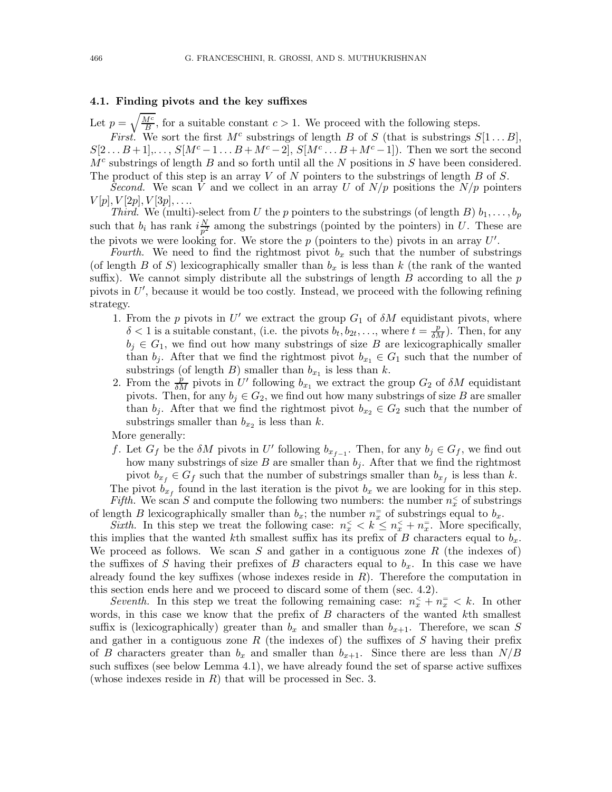## 4.1. Finding pivots and the key suffixes

Let  $p = \sqrt{\frac{M^c}{B}}$  $\frac{W^c}{B}$ , for a suitable constant  $c > 1$ . We proceed with the following steps.

First. We sort the first  $M^c$  substrings of length B of S (that is substrings  $S[1...B]$ ,  $S[2...B+1], \ldots, S[M<sup>c</sup>-1...B+M<sup>c</sup>-2], S[M<sup>c</sup>...B+M<sup>c</sup>-1].$  Then we sort the second  $M<sup>c</sup>$  substrings of length  $B$  and so forth until all the  $N$  positions in  $S$  have been considered. The product of this step is an array  $V$  of  $N$  pointers to the substrings of length  $B$  of  $S$ .

Second. We scan V and we collect in an array U of  $N/p$  positions the  $N/p$  pointers  $V[p], V[2p], V[3p], \ldots$ 

Third. We (multi)-select from U the p pointers to the substrings (of length B)  $b_1, \ldots, b_p$ such that  $b_i$  has rank  $i\frac{N}{n^2}$  $\frac{N}{p^2}$  among the substrings (pointed by the pointers) in U. These are the pivots we were looking for. We store the p (pointers to the) pivots in an array  $U'$ .

Fourth. We need to find the rightmost pivot  $b_x$  such that the number of substrings (of length B of S) lexicographically smaller than  $b_x$  is less than k (the rank of the wanted suffix). We cannot simply distribute all the substrings of length  $B$  according to all the  $p$ pivots in  $U'$ , because it would be too costly. Instead, we proceed with the following refining strategy.

- 1. From the p pivots in U' we extract the group  $G_1$  of  $\delta M$  equidistant pivots, where  $\delta < 1$  is a suitable constant, (i.e. the pivots  $b_t, b_{2t}, \ldots$ , where  $t = \frac{p}{\delta M}$ ). Then, for any  $b_j \in G_1$ , we find out how many substrings of size B are lexicographically smaller than  $b_j$ . After that we find the rightmost pivot  $b_{x_1} \in G_1$  such that the number of substrings (of length B) smaller than  $b_{x_1}$  is less than k.
- 2. From the  $\frac{p}{\delta M}$  pivots in U' following  $b_{x_1}$  we extract the group  $G_2$  of  $\delta M$  equidistant pivots. Then, for any  $b_j \in G_2$ , we find out how many substrings of size B are smaller than  $b_j$ . After that we find the rightmost pivot  $b_{x_2} \in G_2$  such that the number of substrings smaller than  $b_{x_2}$  is less than k.

More generally:

f. Let  $G_f$  be the  $\delta M$  pivots in U' following  $b_{x_{f-1}}$ . Then, for any  $b_j \in G_f$ , we find out how many substrings of size B are smaller than  $b_j$ . After that we find the rightmost pivot  $b_{x_f} \in G_f$  such that the number of substrings smaller than  $b_{x_f}$  is less than k.

The pivot  $b_{x_f}$  found in the last iteration is the pivot  $b_x$  we are looking for in this step. Fifth. We scan S and compute the following two numbers: the number  $n_x^{\text{S}}$  of substrings of length B lexicographically smaller than  $b_x$ ; the number  $n_x = \infty$  of substrings equal to  $b_x$ .

Sixth. In this step we treat the following case:  $n_x^{\lt} < k \leq n_x^{\lt} + n_x^{\lt}$ . More specifically, this implies that the wanted kth smallest suffix has its prefix of B characters equal to  $b_x$ . We proceed as follows. We scan S and gather in a contiguous zone R (the indexes of) the suffixes of S having their prefixes of B characters equal to  $b_x$ . In this case we have already found the key suffixes (whose indexes reside in  $R$ ). Therefore the computation in this section ends here and we proceed to discard some of them (sec. 4.2).

Seventh. In this step we treat the following remaining case:  $n_x^2 + n_x^2 < k$ . In other words, in this case we know that the prefix of  $B$  characters of the wanted  $k$ th smallest suffix is (lexicographically) greater than  $b_x$  and smaller than  $b_{x+1}$ . Therefore, we scan S and gather in a contiguous zone  $R$  (the indexes of) the suffixes of  $S$  having their prefix of B characters greater than  $b_x$  and smaller than  $b_{x+1}$ . Since there are less than  $N/B$ such suffixes (see below Lemma 4.1), we have already found the set of sparse active suffixes (whose indexes reside in  $R$ ) that will be processed in Sec. 3.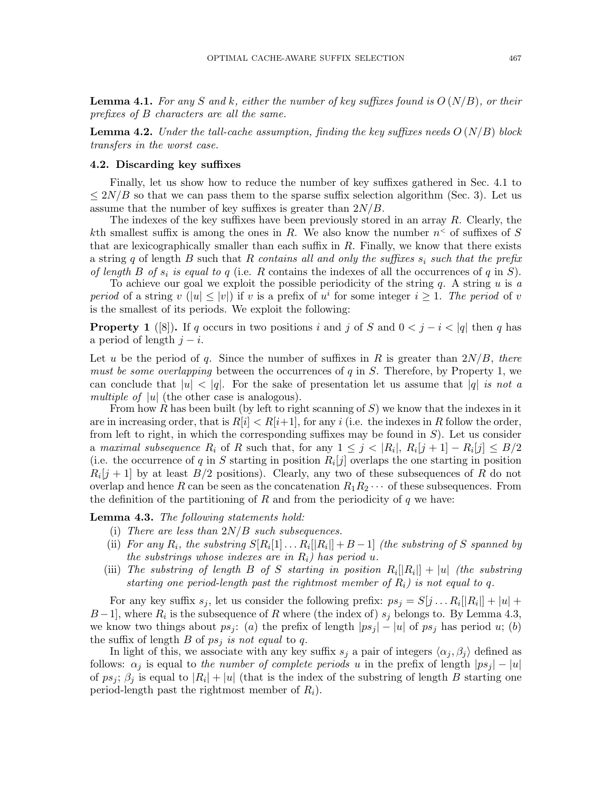**Lemma 4.1.** For any S and k, either the number of key suffixes found is  $O(N/B)$ , or their prefixes of B characters are all the same.

**Lemma 4.2.** Under the tall-cache assumption, finding the key suffixes needs  $O(N/B)$  block transfers in the worst case.

## 4.2. Discarding key suffixes

Finally, let us show how to reduce the number of key suffixes gathered in Sec. 4.1 to  $\leq 2N/B$  so that we can pass them to the sparse suffix selection algorithm (Sec. 3). Let us assume that the number of key suffixes is greater than  $2N/B$ .

The indexes of the key suffixes have been previously stored in an array  $R$ . Clearly, the kth smallest suffix is among the ones in R. We also know the number  $n^{\lt}$  of suffixes of S that are lexicographically smaller than each suffix in R. Finally, we know that there exists a string q of length B such that R contains all and only the suffixes  $s_i$  such that the prefix of length B of  $s_i$  is equal to q (i.e. R contains the indexes of all the occurrences of q in S).

To achieve our goal we exploit the possible periodicity of the string q. A string u is a period of a string v (|u|  $\leq$  |v|) if v is a prefix of  $u^i$  for some integer  $i \geq 1$ . The period of v is the smallest of its periods. We exploit the following:

**Property 1** ([8]). If q occurs in two positions i and j of S and  $0 < j - i < |q|$  then q has a period of length  $j - i$ .

Let u be the period of q. Since the number of suffixes in R is greater than  $2N/B$ , there must be some overlapping between the occurrences of q in  $S$ . Therefore, by Property 1, we can conclude that  $|u| < |q|$ . For the sake of presentation let us assume that  $|q|$  is not a multiple of |u| (the other case is analogous).

From how  $R$  has been built (by left to right scanning of  $S$ ) we know that the indexes in it are in increasing order, that is  $R[i] < R[i+1]$ , for any i (i.e. the indexes in R follow the order, from left to right, in which the corresponding suffixes may be found in  $S$ ). Let us consider a maximal subsequence  $R_i$  of  $R$  such that, for any  $1 \leq j < |R_i|, R_i[j+1] - R_i[j] \leq B/2$ (i.e. the occurrence of q in S starting in position  $R_i[j]$  overlaps the one starting in position  $R_i[j+1]$  by at least  $B/2$  positions). Clearly, any two of these subsequences of R do not overlap and hence R can be seen as the concatenation  $R_1R_2 \cdots$  of these subsequences. From the definition of the partitioning of R and from the periodicity of q we have:

Lemma 4.3. The following statements hold:

- (i) There are less than  $2N/B$  such subsequences.
- (ii) For any  $R_i$ , the substring  $S[R_i[1] \dots R_i[|R_i|] + B 1]$  (the substring of S spanned by the substrings whose indexes are in  $R_i$ ) has period u.
- (iii) The substring of length B of S starting in position  $R_i[[R_i]] + |u|$  (the substring starting one period-length past the rightmost member of  $R_i$ ) is not equal to q.

For any key suffix  $s_j$ , let us consider the following prefix:  $ps_j = S[j \dots R_i][R_i]] + |u| +$  $B-1$ , where  $R_i$  is the subsequence of R where (the index of)  $s_j$  belongs to. By Lemma 4.3, we know two things about ps<sub>j</sub>: (a) the prefix of length  $|ps_j| - |u|$  of ps<sub>j</sub> has period u; (b) the suffix of length B of  $ps_i$  is not equal to q.

In light of this, we associate with any key suffix  $s_j$  a pair of integers  $\langle \alpha_j, \beta_j \rangle$  defined as follows:  $\alpha_j$  is equal to the number of complete periods u in the prefix of length  $|ps_j| - |u|$ of  $ps_j$ ;  $\beta_j$  is equal to  $|R_i| + |u|$  (that is the index of the substring of length B starting one period-length past the rightmost member of  $R_i$ ).